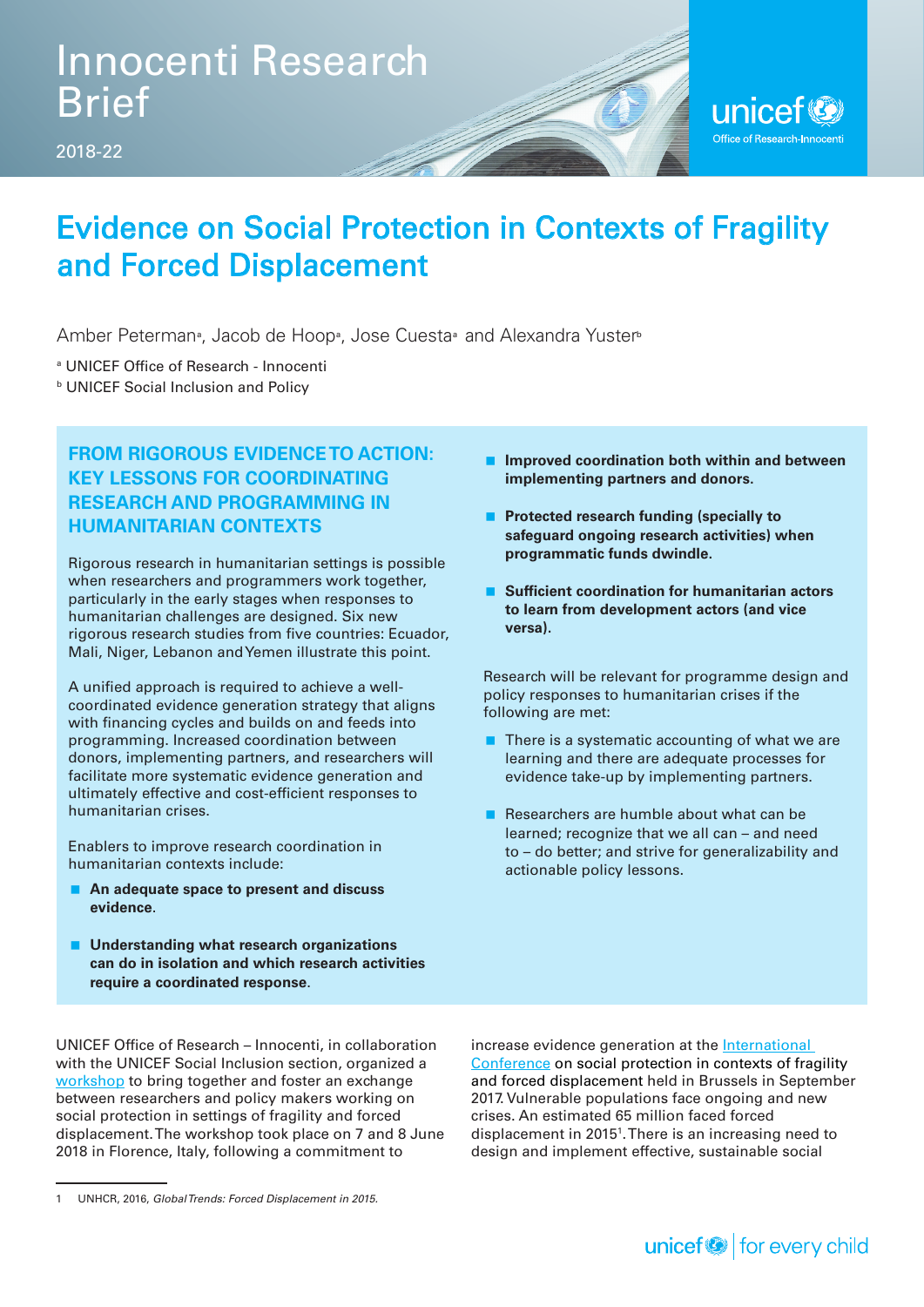

## Evidence on Social Protection in Contexts of Fragility and Forced Displacement

Amber Peterman<sup>®</sup>, Jacob de Hoop®, Jose Cuesta® and Alexandra Yuster®

a UNICEF Office of Research - Innocenti

**b UNICEF Social Inclusion and Policy** 

### **FROM RIGOROUS EVIDENCE TO ACTION: KEY LESSONS FOR COORDINATING RESEARCH AND PROGRAMMING IN HUMANITARIAN CONTEXTS**

Rigorous research in humanitarian settings is possible when researchers and programmers work together, particularly in the early stages when responses to humanitarian challenges are designed. Six new rigorous research studies from five countries: Ecuador, Mali, Niger, Lebanon and Yemen illustrate this point.

A unified approach is required to achieve a wellcoordinated evidence generation strategy that aligns with financing cycles and builds on and feeds into programming. Increased coordination between donors, implementing partners, and researchers will facilitate more systematic evidence generation and ultimately effective and cost-efficient responses to humanitarian crises.

Enablers to improve research coordination in humanitarian contexts include:

- **An adequate space to present and discuss evidence**.
- Understanding what research organizations **can do in isolation and which research activities require a coordinated response**.

UNICEF Office of Research – Innocenti, in collaboration with the UNICEF Social Inclusion section, organized a [workshop](https://www.unicef-irc.org/article/1829-evidence-on-social-protection-in-contexts-of-fragility-and-forced-displacement.html) to bring together and foster an exchange between researchers and policy makers working on social protection in settings of fragility and forced displacement. The workshop took place on 7 and 8 June 2018 in Florence, Italy, following a commitment to

- **Improved coordination both within and between implementing partners and donors.**
- **Protected research funding (specially to safeguard ongoing research activities) when programmatic funds dwindle.**
- **Sufficient coordination for humanitarian actors to learn from development actors (and vice versa).**

Research will be relevant for programme design and policy responses to humanitarian crises if the following are met:

- $\blacksquare$  There is a systematic accounting of what we are learning and there are adequate processes for evidence take-up by implementing partners.
- **Researchers are humble about what can be** learned; recognize that we all can – and need to – do better; and strive for generalizability and actionable policy lessons.

increase evidence generation at the [International](http://sp-fragility-displacement.onetec.eu/index.asp?type=)  [Conference](http://sp-fragility-displacement.onetec.eu/index.asp?type=) on social protection in contexts of fragility and forced displacement held in Brussels in September 2017. Vulnerable populations face ongoing and new crises. An estimated 65 million faced forced displacement in 2015<sup>1</sup>. There is an increasing need to design and implement effective, sustainable social

<sup>1</sup> UNHCR, 2016, *Global Trends: Forced Displacement in 2015.*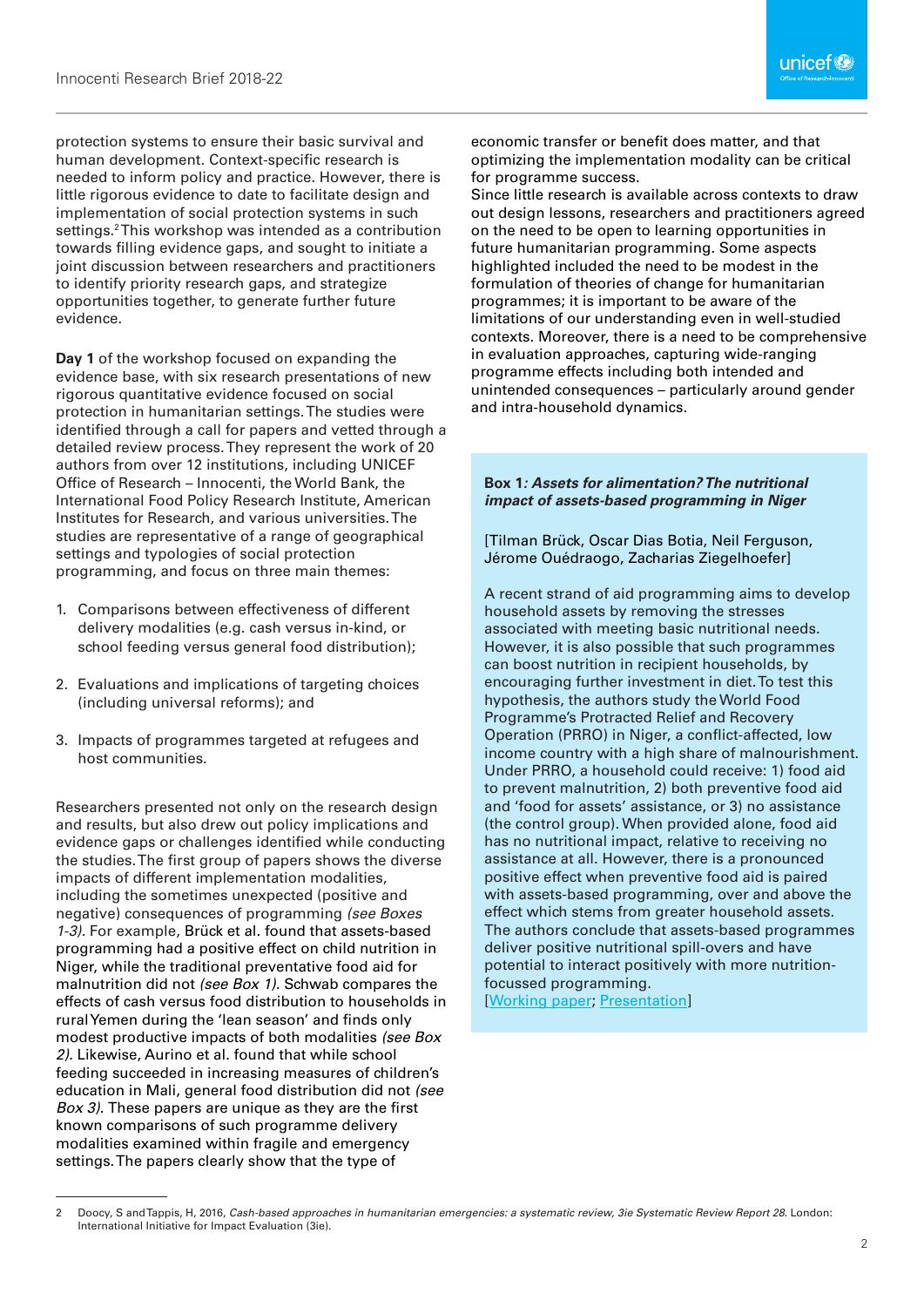protection systems to ensure their basic survival and human development. Context-specific research is needed to inform policy and practice. However, there is little rigorous evidence to date to facilitate design and implementation of social protection systems in such settings.<sup>2</sup> This workshop was intended as a contribution towards filling evidence gaps, and sought to initiate a joint discussion between researchers and practitioners to identify priority research gaps, and strategize opportunities together, to generate further future evidence.

**Day 1** of the workshop focused on expanding the evidence base, with six research presentations of new rigorous quantitative evidence focused on social protection in humanitarian settings. The studies were identified through a call for papers and vetted through a detailed review process. They represent the work of 20 authors from over 12 institutions, including UNICEF Office of Research – Innocenti, the World Bank, the International Food Policy Research Institute, American Institutes for Research, and various universities. The studies are representative of a range of geographical settings and typologies of social protection programming, and focus on three main themes:

- 1. Comparisons between effectiveness of different delivery modalities (e.g. cash versus in-kind, or school feeding versus general food distribution);
- 2. Evaluations and implications of targeting choices (including universal reforms); and
- 3. Impacts of programmes targeted at refugees and host communities.

Researchers presented not only on the research design and results, but also drew out policy implications and evidence gaps or challenges identified while conducting the studies. The first group of papers shows the diverse impacts of different implementation modalities, including the sometimes unexpected (positive and negative) consequences of programming *(see Boxes 1-3).* For example, Brück et al. found that assets-based programming had a positive effect on child nutrition in Niger, while the traditional preventative food aid for malnutrition did not *(see Box 1).* Schwab compares the effects of cash versus food distribution to households in rural Yemen during the 'lean season' and finds only modest productive impacts of both modalities *(see Box 2).* Likewise, Aurino et al. found that while school feeding succeeded in increasing measures of children's education in Mali, general food distribution did not *(see Box 3).* These papers are unique as they are the first known comparisons of such programme delivery modalities examined within fragile and emergency settings. The papers clearly show that the type of

economic transfer or benefit does matter, and that optimizing the implementation modality can be critical for programme success.

Since little research is available across contexts to draw out design lessons, researchers and practitioners agreed on the need to be open to learning opportunities in future humanitarian programming. Some aspects highlighted included the need to be modest in the formulation of theories of change for humanitarian programmes; it is important to be aware of the limitations of our understanding even in well-studied contexts. Moreover, there is a need to be comprehensive in evaluation approaches, capturing wide-ranging programme effects including both intended and unintended consequences – particularly around gender and intra-household dynamics.

#### **Box 1***: Assets for alimentation? The nutritional impact of assets-based programming in Niger*

[Tilman Brück, Oscar Dias Botia, Neil Ferguson, Jérome Ouédraogo, Zacharias Ziegelhoefer]

A recent strand of aid programming aims to develop household assets by removing the stresses associated with meeting basic nutritional needs. However, it is also possible that such programmes can boost nutrition in recipient households, by encouraging further investment in diet. To test this hypothesis, the authors study the World Food Programme's Protracted Relief and Recovery Operation (PRRO) in Niger, a conflict-affected, low income country with a high share of malnourishment. Under PRRO, a household could receive: 1) food aid to prevent malnutrition, 2) both preventive food aid and 'food for assets' assistance, or 3) no assistance (the control group). When provided alone, food aid has no nutritional impact, relative to receiving no assistance at all. However, there is a pronounced positive effect when preventive food aid is paired with assets-based programming, over and above the effect which stems from greater household assets. The authors conclude that assets-based programmes deliver positive nutritional spill-overs and have potential to interact positively with more nutritionfocussed programming.

[\[Working paper](https://www.unicef-irc.org/publications/957-assets-for-alimentation-the-nutritional-impact-of-assets-based-programming-in-niger.html); [Presentation\]](https://www.unicef-irc.org/data-visualizations/?videoId=102296502)

<sup>2</sup> Doocy, S and Tappis, H, 2016, *Cash-based approaches in humanitarian emergencies: a systematic review, 3ie Systematic Review Report 28*. London: International Initiative for Impact Evaluation (3ie).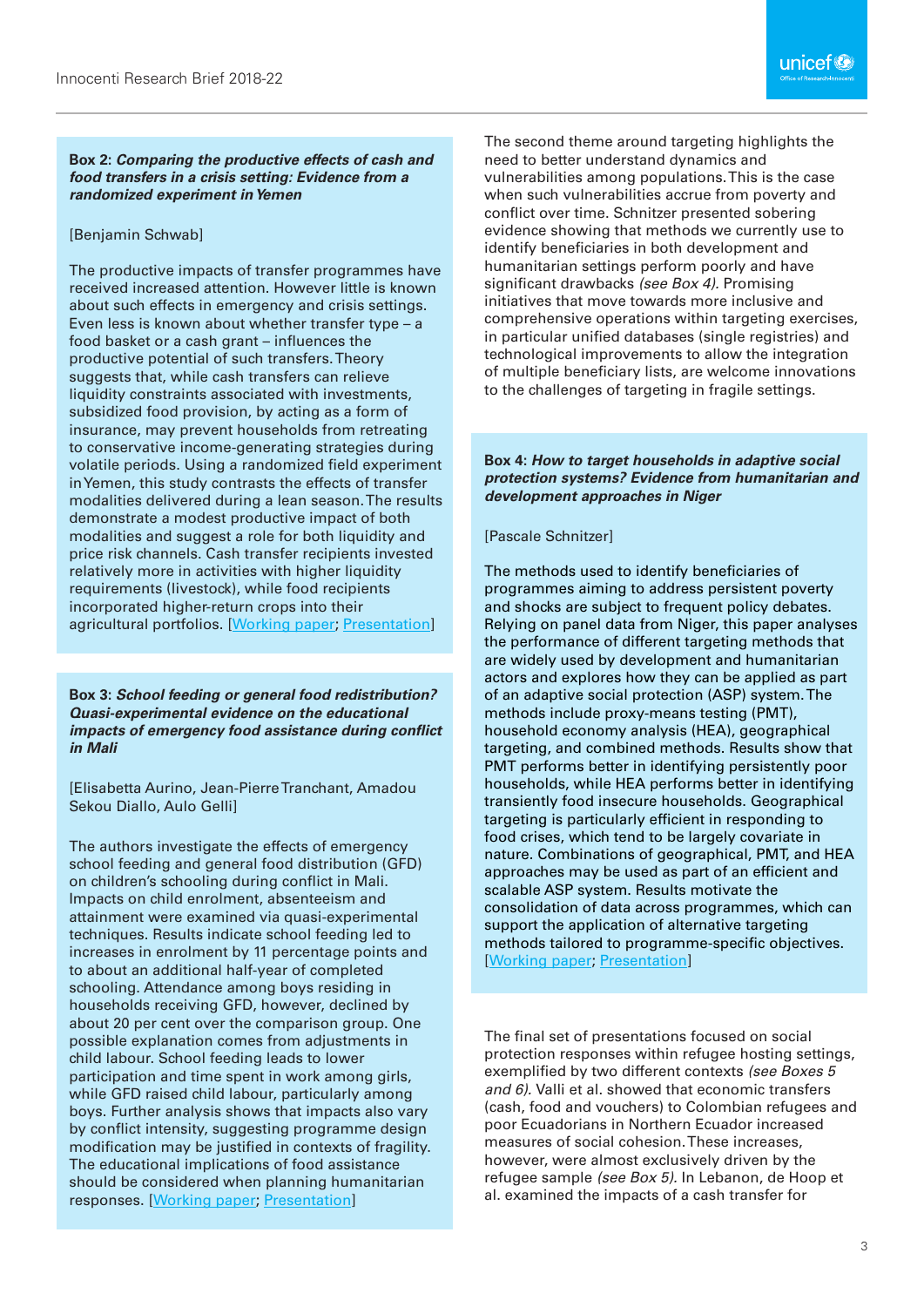#### **Box 2:** *Comparing the productive effects of cash and food transfers in a crisis setting: Evidence from a randomized experiment in Yemen*

#### [Benjamin Schwab]

The productive impacts of transfer programmes have received increased attention. However little is known about such effects in emergency and crisis settings. Even less is known about whether transfer type – a food basket or a cash grant – influences the productive potential of such transfers. Theory suggests that, while cash transfers can relieve liquidity constraints associated with investments, subsidized food provision, by acting as a form of insurance, may prevent households from retreating to conservative income-generating strategies during volatile periods. Using a randomized field experiment in Yemen, this study contrasts the effects of transfer modalities delivered during a lean season. The results demonstrate a modest productive impact of both modalities and suggest a role for both liquidity and price risk channels. Cash transfer recipients invested relatively more in activities with higher liquidity requirements (livestock), while food recipients incorporated higher-return crops into their agricultural portfolios. [[Working paper;](https://www.unicef-irc.org/publications/965-comparing-the-productive-effects-of-cash-and-food-transfers-in-a-crisis-setting-evidence.html) [Presentation](https://www.unicef-irc.org/data-visualizations/?videoId=102296761)]

**Box 3:** *School feeding or general food redistribution? Quasi-experimental evidence on the educational impacts of emergency food assistance during conflict in Mali*

[Elisabetta Aurino, Jean-Pierre Tranchant, Amadou Sekou Diallo, Aulo Gelli]

The authors investigate the effects of emergency school feeding and general food distribution (GFD) on children's schooling during conflict in Mali. Impacts on child enrolment, absenteeism and attainment were examined via quasi-experimental techniques. Results indicate school feeding led to increases in enrolment by 11 percentage points and to about an additional half-year of completed schooling. Attendance among boys residing in households receiving GFD, however, declined by about 20 per cent over the comparison group. One possible explanation comes from adjustments in child labour. School feeding leads to lower participation and time spent in work among girls, while GFD raised child labour, particularly among boys. Further analysis shows that impacts also vary by conflict intensity, suggesting programme design modification may be justified in contexts of fragility. The educational implications of food assistance should be considered when planning humanitarian responses. [[Working paper;](https://www.unicef-irc.org/publications/956-school-feeding-or-general-food-distribution-quasi-experimental-evidence-on-the-educational.html) [Presentation](https://www.unicef-irc.org/data-visualizations/?videoId=102296889)]

The second theme around targeting highlights the need to better understand dynamics and vulnerabilities among populations. This is the case when such vulnerabilities accrue from poverty and conflict over time. Schnitzer presented sobering evidence showing that methods we currently use to identify beneficiaries in both development and humanitarian settings perform poorly and have significant drawbacks *(see Box 4).* Promising initiatives that move towards more inclusive and comprehensive operations within targeting exercises, in particular unified databases (single registries) and technological improvements to allow the integration of multiple beneficiary lists, are welcome innovations to the challenges of targeting in fragile settings.

#### **Box 4:** *How to target households in adaptive social protection systems? Evidence from humanitarian and development approaches in Niger*

#### [Pascale Schnitzer]

The methods used to identify beneficiaries of programmes aiming to address persistent poverty and shocks are subject to frequent policy debates. Relying on panel data from Niger, this paper analyses the performance of different targeting methods that are widely used by development and humanitarian actors and explores how they can be applied as part of an adaptive social protection (ASP) system. The methods include proxy-means testing (PMT), household economy analysis (HEA), geographical targeting, and combined methods. Results show that PMT performs better in identifying persistently poor households, while HEA performs better in identifying transiently food insecure households. Geographical targeting is particularly efficient in responding to food crises, which tend to be largely covariate in nature. Combinations of geographical, PMT, and HEA approaches may be used as part of an efficient and scalable ASP system. Results motivate the consolidation of data across programmes, which can support the application of alternative targeting methods tailored to programme-specific objectives. [\[Working paper](https://www.unicef-irc.org/publications/964-how-to-target-households-in-adaptive-social-protection-systems-evidence-from-humanitarian.html); [Presentation\]](https://www.unicef-irc.org/data-visualizations/?videoId=102297044)

The final set of presentations focused on social protection responses within refugee hosting settings, exemplified by two different contexts *(see Boxes 5 and 6).* Valli et al. showed that economic transfers (cash, food and vouchers) to Colombian refugees and poor Ecuadorians in Northern Ecuador increased measures of social cohesion. These increases, however, were almost exclusively driven by the refugee sample *(see Box 5).* In Lebanon, de Hoop et al. examined the impacts of a cash transfer for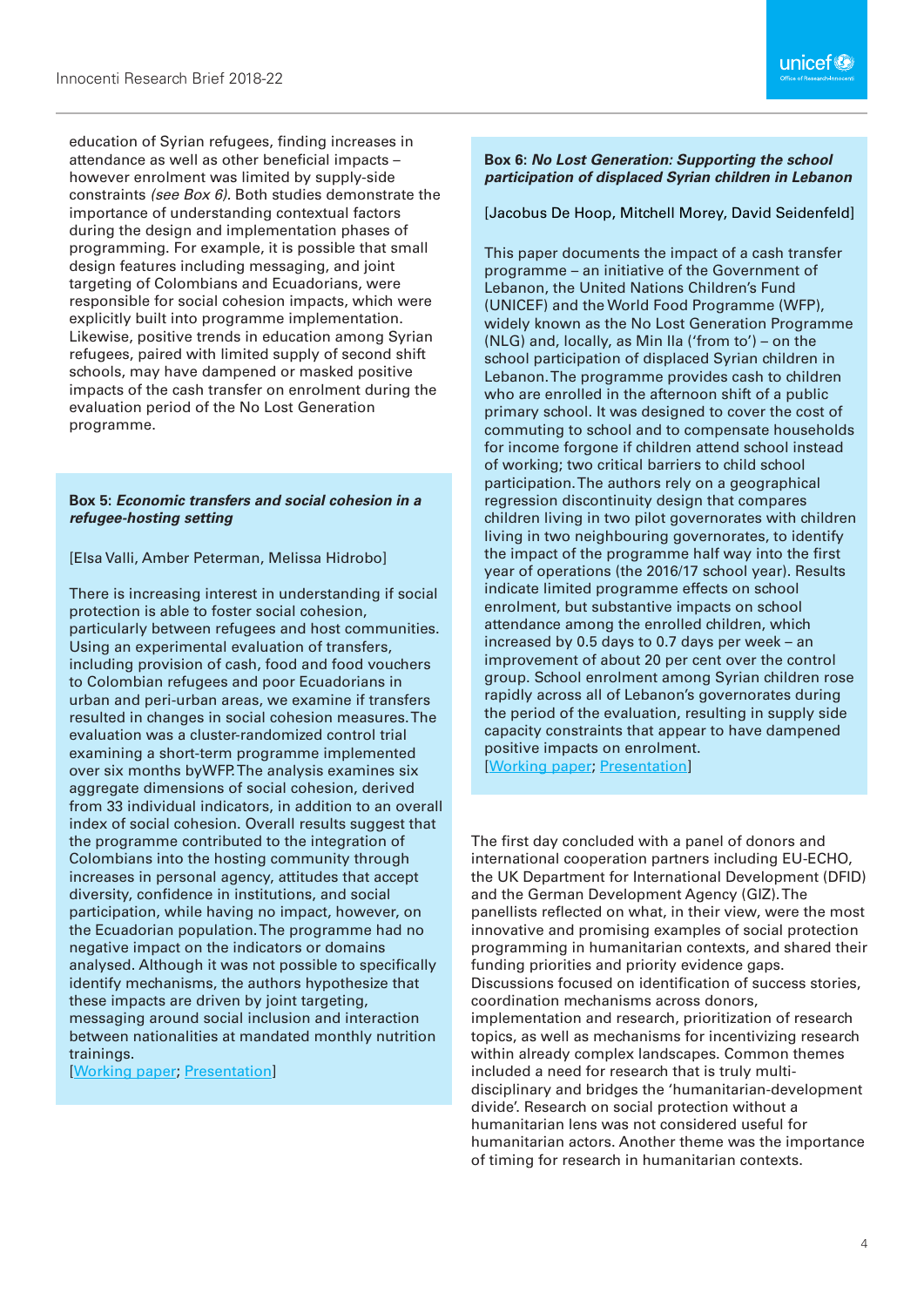education of Syrian refugees, finding increases in attendance as well as other beneficial impacts – however enrolment was limited by supply-side constraints *(see Box 6).* Both studies demonstrate the importance of understanding contextual factors during the design and implementation phases of programming. For example, it is possible that small desian features including messaging, and joint targeting of Colombians and Ecuadorians, were responsible for social cohesion impacts, which were explicitly built into programme implementation. Likewise, positive trends in education among Syrian refugees, paired with limited supply of second shift schools, may have dampened or masked positive impacts of the cash transfer on enrolment during the evaluation period of the No Lost Generation programme.

#### **Box 5:** *Economic transfers and social cohesion in a refugee-hosting setting*

[Elsa Valli, Amber Peterman, Melissa Hidrobo]

There is increasing interest in understanding if social protection is able to foster social cohesion, particularly between refugees and host communities. Using an experimental evaluation of transfers, including provision of cash, food and food vouchers to Colombian refugees and poor Ecuadorians in urban and peri-urban areas, we examine if transfers resulted in changes in social cohesion measures. The evaluation was a cluster-randomized control trial examining a short-term programme implemented over six months byWFP. The analysis examines six aggregate dimensions of social cohesion, derived from 33 individual indicators, in addition to an overall index of social cohesion. Overall results suggest that the programme contributed to the integration of Colombians into the hosting community through increases in personal agency, attitudes that accept diversity, confidence in institutions, and social participation, while having no impact, however, on the Ecuadorian population. The programme had no negative impact on the indicators or domains analysed. Although it was not possible to specifically identify mechanisms, the authors hypothesize that these impacts are driven by joint targeting, messaging around social inclusion and interaction between nationalities at mandated monthly nutrition trainings.

[[Working paper;](https://www.unicef-irc.org/publications/959-.html) [Presentation](https://www.unicef-irc.org/data-visualizations/?videoId=102297258)]

#### **Box 6:** *No Lost Generation: Supporting the school participation of displaced Syrian children in Lebanon*

[Jacobus De Hoop, Mitchell Morey, David Seidenfeld]

This paper documents the impact of a cash transfer programme – an initiative of the Government of Lebanon, the United Nations Children's Fund (UNICEF) and the World Food Programme (WFP), widely known as the No Lost Generation Programme (NLG) and, locally, as Min Ila ('from to') – on the school participation of displaced Syrian children in Lebanon. The programme provides cash to children who are enrolled in the afternoon shift of a public primary school. It was designed to cover the cost of commuting to school and to compensate households for income forgone if children attend school instead of working; two critical barriers to child school participation. The authors rely on a geographical regression discontinuity design that compares children living in two pilot governorates with children living in two neighbouring governorates, to identify the impact of the programme half way into the first year of operations (the 2016/17 school year). Results indicate limited programme effects on school enrolment, but substantive impacts on school attendance among the enrolled children, which increased by 0.5 days to 0.7 days per week – an improvement of about 20 per cent over the control group. School enrolment among Syrian children rose rapidly across all of Lebanon's governorates during the period of the evaluation, resulting in supply side capacity constraints that appear to have dampened positive impacts on enrolment.

[\[Working paper](https://www.unicef-irc.org/publications/955-no-lost-generation-supporting-school-participation-of-displaced-syrian-children-in.html); [Presentation\]](https://www.unicef-irc.org/data-visualizations/?videoId=102297143)

The first day concluded with a panel of donors and international cooperation partners including EU-ECHO, the UK Department for International Development (DFID) and the German Development Agency (GIZ). The panellists reflected on what, in their view, were the most innovative and promising examples of social protection programming in humanitarian contexts, and shared their funding priorities and priority evidence gaps. Discussions focused on identification of success stories, coordination mechanisms across donors, implementation and research, prioritization of research topics, as well as mechanisms for incentivizing research within already complex landscapes. Common themes included a need for research that is truly multidisciplinary and bridges the 'humanitarian-development divide'. Research on social protection without a humanitarian lens was not considered useful for humanitarian actors. Another theme was the importance of timing for research in humanitarian contexts.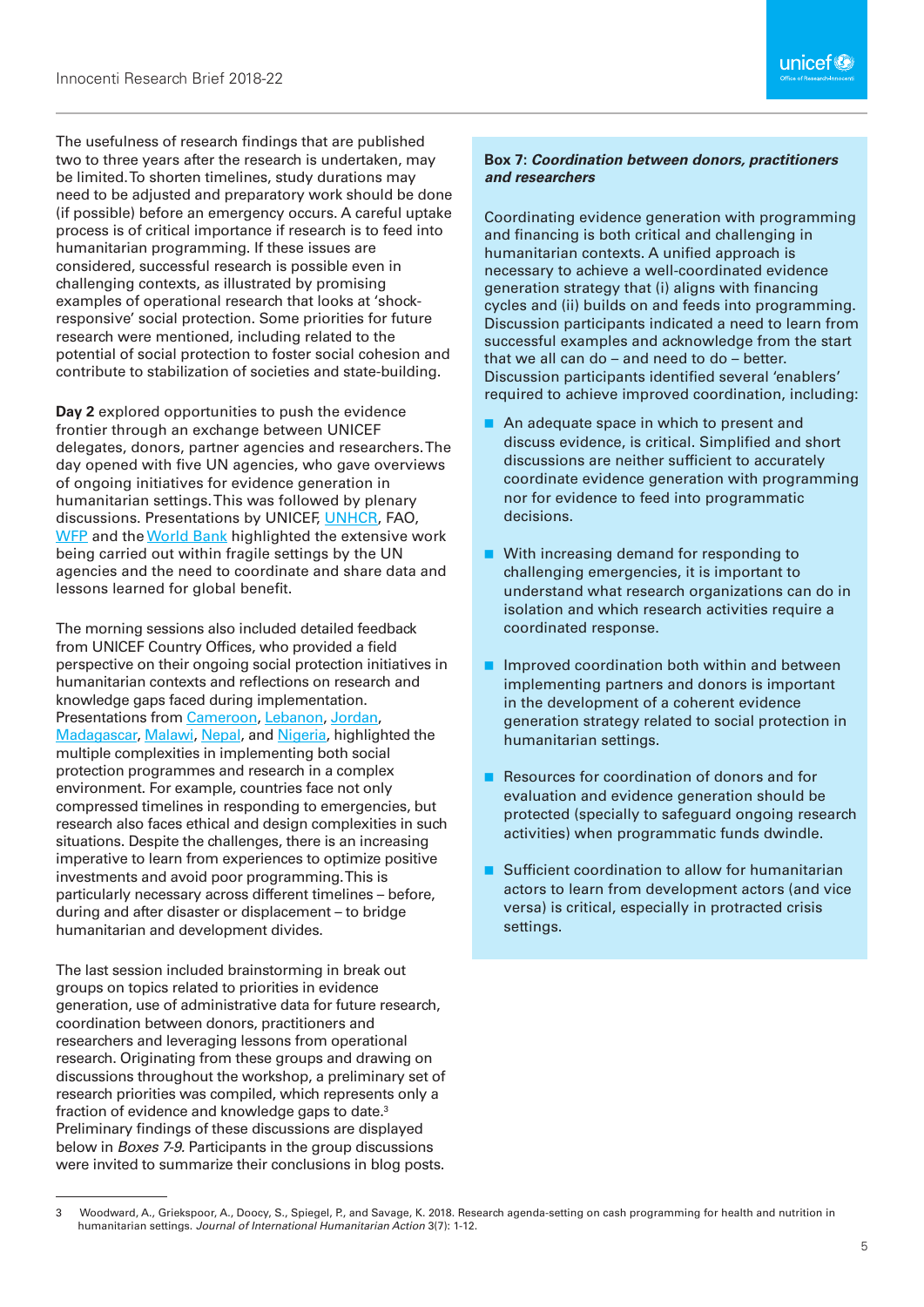The usefulness of research findings that are published two to three years after the research is undertaken, may be limited. To shorten timelines, study durations may need to be adjusted and preparatory work should be done (if possible) before an emergency occurs. A careful uptake process is of critical importance if research is to feed into humanitarian programming. If these issues are considered, successful research is possible even in challenging contexts, as illustrated by promising examples of operational research that looks at 'shockresponsive' social protection. Some priorities for future research were mentioned, including related to the potential of social protection to foster social cohesion and contribute to stabilization of societies and state-building.

**Day 2** explored opportunities to push the evidence frontier through an exchange between UNICEF delegates, donors, partner agencies and researchers. The day opened with five UN agencies, who gave overviews of ongoing initiatives for evidence generation in humanitarian settings. This was followed by plenary discussions. Presentations by UNICEF, [UNHCR](https://www.unicef-irc.org/data-visualizations/?videoId=102297351), FAO, [WFP](https://www.unicef-irc.org/data-visualizations/?videoId=102297509) and the [World Bank](https://www.unicef-irc.org/data-visualizations/?videoId=102297612) highlighted the extensive work being carried out within fragile settings by the UN agencies and the need to coordinate and share data and lessons learned for global benefit.

The morning sessions also included detailed feedback from UNICEF Country Offices, who provided a field perspective on their ongoing social protection initiatives in humanitarian contexts and reflections on research and knowledge gaps faced during implementation. Presentations from [Cameroon,](https://www.unicef-irc.org/data-visualizations/?videoId=102298096) [Lebanon](https://www.unicef-irc.org/data-visualizations/?videoId=102297843), [Jordan,](https://www.unicef-irc.org/data-visualizations/?videoId=102297994) [Madagascar](https://www.unicef-irc.org/data-visualizations/?videoId=102298346), [Malawi,](https://www.unicef-irc.org/data-visualizations/?videoId=102298235) [Nepal](https://www.unicef-irc.org/data-visualizations/?videoId=102297714), and [Nigeria](https://www.unicef-irc.org/data-visualizations/?videoId=102297790), highlighted the multiple complexities in implementing both social protection programmes and research in a complex environment. For example, countries face not only compressed timelines in responding to emergencies, but research also faces ethical and design complexities in such situations. Despite the challenges, there is an increasing imperative to learn from experiences to optimize positive investments and avoid poor programming. This is particularly necessary across different timelines – before, during and after disaster or displacement – to bridge humanitarian and development divides.

The last session included brainstorming in break out groups on topics related to priorities in evidence generation, use of administrative data for future research, coordination between donors, practitioners and researchers and leveraging lessons from operational research. Originating from these groups and drawing on discussions throughout the workshop, a preliminary set of research priorities was compiled, which represents only a fraction of evidence and knowledge gaps to date.<sup>3</sup> Preliminary findings of these discussions are displayed below in *Boxes 7-9.* Participants in the group discussions were invited to summarize their conclusions in blog posts.

#### **Box 7:** *Coordination between donors, practitioners and researchers*

Coordinating evidence generation with programming and financing is both critical and challenging in humanitarian contexts. A unified approach is necessary to achieve a well-coordinated evidence generation strategy that (i) aligns with financing cycles and (ii) builds on and feeds into programming. Discussion participants indicated a need to learn from successful examples and acknowledge from the start that we all can do – and need to do – better. Discussion participants identified several 'enablers' required to achieve improved coordination, including:

- An adequate space in which to present and discuss evidence, is critical. Simplified and short discussions are neither sufficient to accurately coordinate evidence generation with programming nor for evidence to feed into programmatic decisions.
- With increasing demand for responding to challenging emergencies, it is important to understand what research organizations can do in isolation and which research activities require a coordinated response.
- Improved coordination both within and between implementing partners and donors is important in the development of a coherent evidence generation strategy related to social protection in humanitarian settings.
- Resources for coordination of donors and for evaluation and evidence generation should be protected (specially to safeguard ongoing research activities) when programmatic funds dwindle.
- Sufficient coordination to allow for humanitarian actors to learn from development actors (and vice versa) is critical, especially in protracted crisis settings.

<sup>3</sup> Woodward, A., Griekspoor, A., Doocy, S., Spiegel, P., and Savage, K. 2018. Research agenda-setting on cash programming for health and nutrition in humanitarian settings. *Journal of International Humanitarian Action* 3(7): 1-12.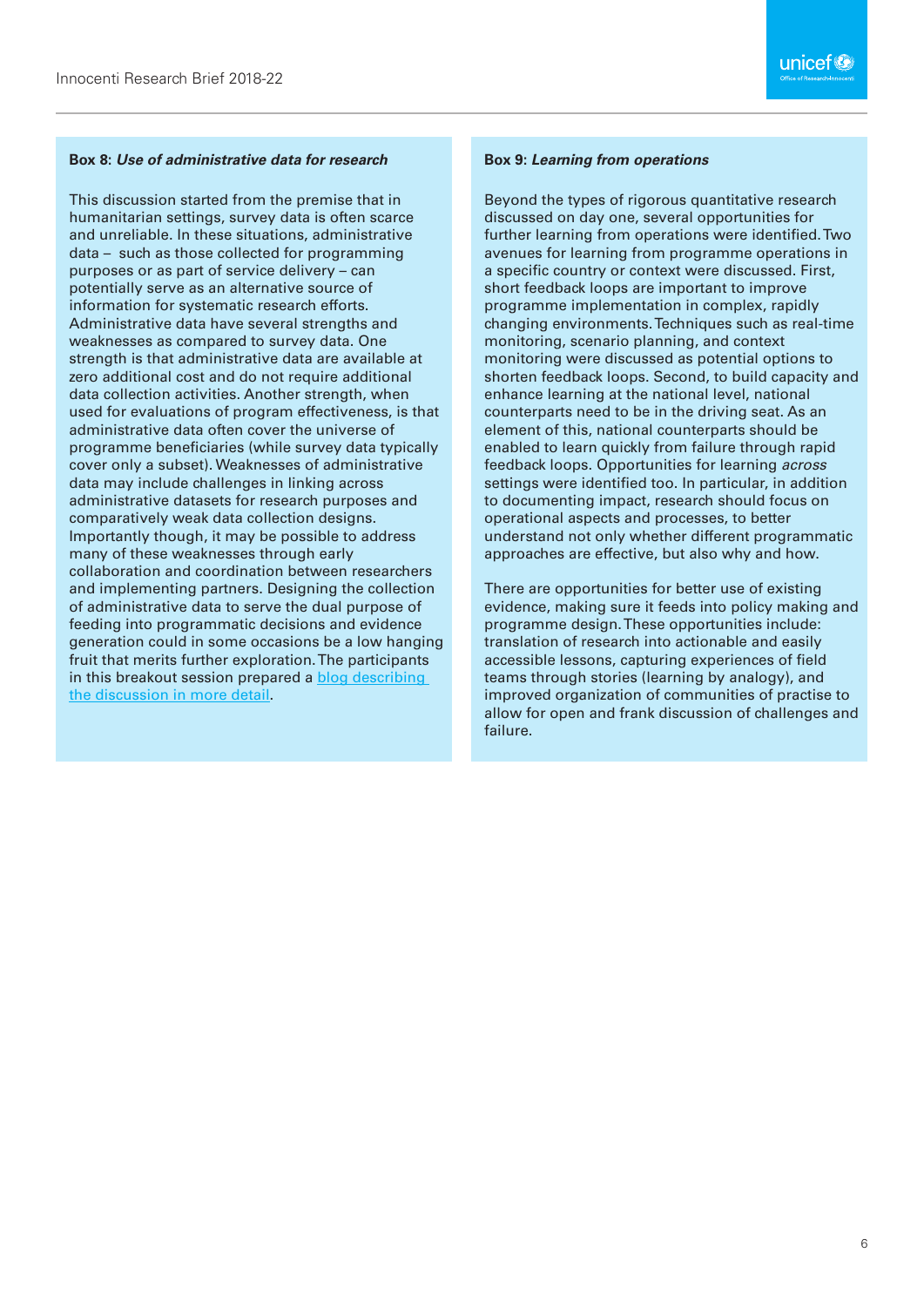#### **Box 8:** *Use of administrative data for research*

This discussion started from the premise that in humanitarian settings, survey data is often scarce and unreliable. In these situations, administrative data – such as those collected for programming purposes or as part of service delivery – can potentially serve as an alternative source of information for systematic research efforts. Administrative data have several strengths and weaknesses as compared to survey data. One strength is that administrative data are available at zero additional cost and do not require additional data collection activities. Another strength, when used for evaluations of program effectiveness, is that administrative data often cover the universe of programme beneficiaries (while survey data typically cover only a subset). Weaknesses of administrative data may include challenges in linking across administrative datasets for research purposes and comparatively weak data collection designs. Importantly though, it may be possible to address many of these weaknesses through early collaboration and coordination between researchers and implementing partners. Designing the collection of administrative data to serve the dual purpose of feeding into programmatic decisions and evidence generation could in some occasions be a low hanging fruit that merits further exploration. The participants in this breakout session prepared a [blog describing](https://blogs.unicef.org/evidence-for-action/administrative-data-missed-opportunity-for-learning-and-research-in-humanitarian-emergencies/)  [the discussion in more detail.](https://blogs.unicef.org/evidence-for-action/administrative-data-missed-opportunity-for-learning-and-research-in-humanitarian-emergencies/)

#### **Box 9:** *Learning from operations*

Beyond the types of rigorous quantitative research discussed on day one, several opportunities for further learning from operations were identified. Two avenues for learning from programme operations in a specific country or context were discussed. First, short feedback loops are important to improve programme implementation in complex, rapidly changing environments. Techniques such as real-time monitoring, scenario planning, and context monitoring were discussed as potential options to shorten feedback loops. Second, to build capacity and enhance learning at the national level, national counterparts need to be in the driving seat. As an element of this, national counterparts should be enabled to learn quickly from failure through rapid feedback loops. Opportunities for learning *across* settings were identified too. In particular, in addition to documenting impact, research should focus on operational aspects and processes, to better understand not only whether different programmatic approaches are effective, but also why and how.

There are opportunities for better use of existing evidence, making sure it feeds into policy making and programme design. These opportunities include: translation of research into actionable and easily accessible lessons, capturing experiences of field teams through stories (learning by analogy), and improved organization of communities of practise to allow for open and frank discussion of challenges and failure.